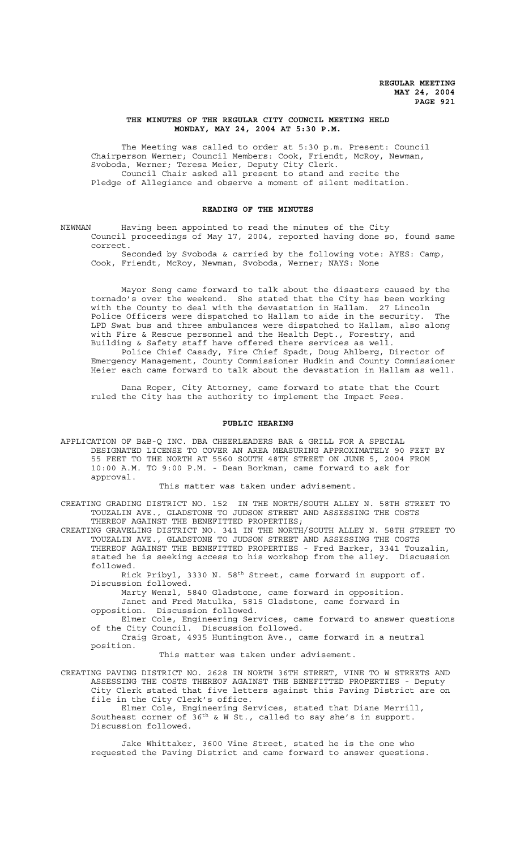# **THE MINUTES OF THE REGULAR CITY COUNCIL MEETING HELD MONDAY, MAY 24, 2004 AT 5:30 P.M.**

The Meeting was called to order at 5:30 p.m. Present: Council Chairperson Werner; Council Members: Cook, Friendt, McRoy, Newman, Svoboda, Werner; Teresa Meier, Deputy City Clerk. Council Chair asked all present to stand and recite the Pledge of Allegiance and observe a moment of silent meditation.

## **READING OF THE MINUTES**

NEWMAN Having been appointed to read the minutes of the City Council proceedings of May 17, 2004, reported having done so, found same correct.

Seconded by Svoboda & carried by the following vote: AYES: Camp, Cook, Friendt, McRoy, Newman, Svoboda, Werner; NAYS: None

Mayor Seng came forward to talk about the disasters caused by the tornado's over the weekend. She stated that the City has been working with the County to deal with the devastation in Hallam. 27 Lincoln Police Officers were dispatched to Hallam to aide in the security. The LPD Swat bus and three ambulances were dispatched to Hallam, also along with Fire & Rescue personnel and the Health Dept., Forestry, and Building & Safety staff have offered there services as well.

Police Chief Casady, Fire Chief Spadt, Doug Ahlberg, Director of Emergency Management, County Commissioner Hudkin and County Commissioner Heier each came forward to talk about the devastation in Hallam as well.

Dana Roper, City Attorney, came forward to state that the Court ruled the City has the authority to implement the Impact Fees.

#### **PUBLIC HEARING**

APPLICATION OF B&B-Q INC. DBA CHEERLEADERS BAR & GRILL FOR A SPECIAL DESIGNATED LICENSE TO COVER AN AREA MEASURING APPROXIMATELY 90 FEET BY 55 FEET TO THE NORTH AT 5560 SOUTH 48TH STREET ON JUNE 5, 2004 FROM 10:00 A.M. TO 9:00 P.M. - Dean Borkman, came forward to ask for approval.

## This matter was taken under advisement.

CREATING GRADING DISTRICT NO. 152 IN THE NORTH/SOUTH ALLEY N. 58TH STREET TO TOUZALIN AVE., GLADSTONE TO JUDSON STREET AND ASSESSING THE COSTS THEREOF AGAINST THE BENEFITTED PROPERTIES;

CREATING GRAVELING DISTRICT NO. 341 IN THE NORTH/SOUTH ALLEY N. 58TH STREET TO TOUZALIN AVE., GLADSTONE TO JUDSON STREET AND ASSESSING THE COSTS THEREOF AGAINST THE BENEFITTED PROPERTIES - Fred Barker, 3341 Touzalin, stated he is seeking access to his workshop from the alley. Discussion followed.

Rick Pribyl, 3330 N. 58th Street, came forward in support of. Discussion followed.

Marty Wenzl, 5840 Gladstone, came forward in opposition.

Janet and Fred Matulka, 5815 Gladstone, came forward in

opposition. Discussion followed.

Elmer Cole, Engineering Services, came forward to answer questions of the City Council. Discussion followed.

Craig Groat, 4935 Huntington Ave., came forward in a neutral position.

This matter was taken under advisement.

CREATING PAVING DISTRICT NO. 2628 IN NORTH 36TH STREET, VINE TO W STREETS AND ASSESSING THE COSTS THEREOF AGAINST THE BENEFITTED PROPERTIES - Deputy City Clerk stated that five letters against this Paving District are on file in the City Clerk's office.

Elmer Cole, Engineering Services, stated that Diane Merrill, Southeast corner of  $36<sup>th</sup>$  & W St., called to say she's in support. Discussion followed.

Jake Whittaker, 3600 Vine Street, stated he is the one who requested the Paving District and came forward to answer questions.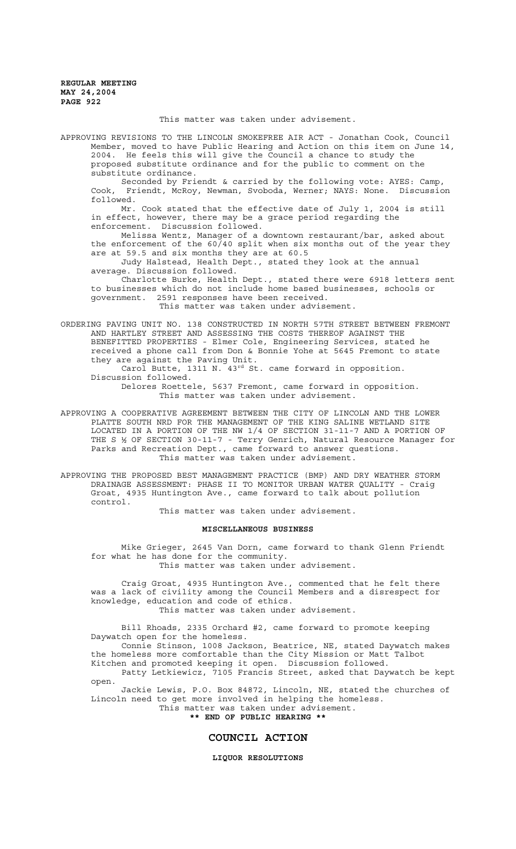This matter was taken under advisement.

APPROVING REVISIONS TO THE LINCOLN SMOKEFREE AIR ACT - Jonathan Cook, Council Member, moved to have Public Hearing and Action on this item on June 14, 2004. He feels this will give the Council a chance to study the proposed substitute ordinance and for the public to comment on the substitute ordinance.

Seconded by Friendt & carried by the following vote: AYES: Camp, Cook, Friendt, McRoy, Newman, Svoboda, Werner; NAYS: None. Discussion followed.

Mr. Cook stated that the effective date of July 1, 2004 is still in effect, however, there may be a grace period regarding the enforcement. Discussion followed.

Melissa Wentz, Manager of a downtown restaurant/bar, asked about the enforcement of the 60/40 split when six months out of the year they are at 59.5 and six months they are at 60.5

Judy Halstead, Health Dept., stated they look at the annual average. Discussion followed.

Charlotte Burke, Health Dept., stated there were 6918 letters sent to businesses which do not include home based businesses, schools or government. 2591 responses have been received.

This matter was taken under advisement.

ORDERING PAVING UNIT NO. 138 CONSTRUCTED IN NORTH 57TH STREET BETWEEN FREMONT AND HARTLEY STREET AND ASSESSING THE COSTS THEREOF AGAINST THE BENEFITTED PROPERTIES - Elmer Cole, Engineering Services, stated he received a phone call from Don & Bonnie Yohe at 5645 Fremont to state they are against the Paving Unit.

Carol Butte, 1311 N. 43<sup>rd</sup> St. came forward in opposition. Discussion followed.

Delores Roettele, 5637 Fremont, came forward in opposition. This matter was taken under advisement.

APPROVING A COOPERATIVE AGREEMENT BETWEEN THE CITY OF LINCOLN AND THE LOWER PLATTE SOUTH NRD FOR THE MANAGEMENT OF THE KING SALINE WETLAND SITE LOCATED IN A PORTION OF THE NW 1/4 OF SECTION 31-11-7 AND A PORTION OF THE S ½ OF SECTION 30-11-7 - Terry Genrich, Natural Resource Manager for Parks and Recreation Dept., came forward to answer questions. This matter was taken under advisement.

APPROVING THE PROPOSED BEST MANAGEMENT PRACTICE (BMP) AND DRY WEATHER STORM DRAINAGE ASSESSMENT: PHASE II TO MONITOR URBAN WATER QUALITY - Craig Groat, 4935 Huntington Ave., came forward to talk about pollution control.

This matter was taken under advisement.

#### **MISCELLANEOUS BUSINESS**

Mike Grieger, 2645 Van Dorn, came forward to thank Glenn Friendt for what he has done for the community. This matter was taken under advisement.

Craig Groat, 4935 Huntington Ave., commented that he felt there was a lack of civility among the Council Members and a disrespect for knowledge, education and code of ethics. This matter was taken under advisement.

Bill Rhoads, 2335 Orchard #2, came forward to promote keeping Daywatch open for the homeless.

Connie Stinson, 1008 Jackson, Beatrice, NE, stated Daywatch makes the homeless more comfortable than the City Mission or Matt Talbot Kitchen and promoted keeping it open. Discussion followed.

Patty Letkiewicz, 7105 Francis Street, asked that Daywatch be kept open.

Jackie Lewis, P.O. Box 84872, Lincoln, NE, stated the churches of Lincoln need to get more involved in helping the homeless. This matter was taken under advisement.

**\*\* END OF PUBLIC HEARING \*\***

# **COUNCIL ACTION**

# **LIQUOR RESOLUTIONS**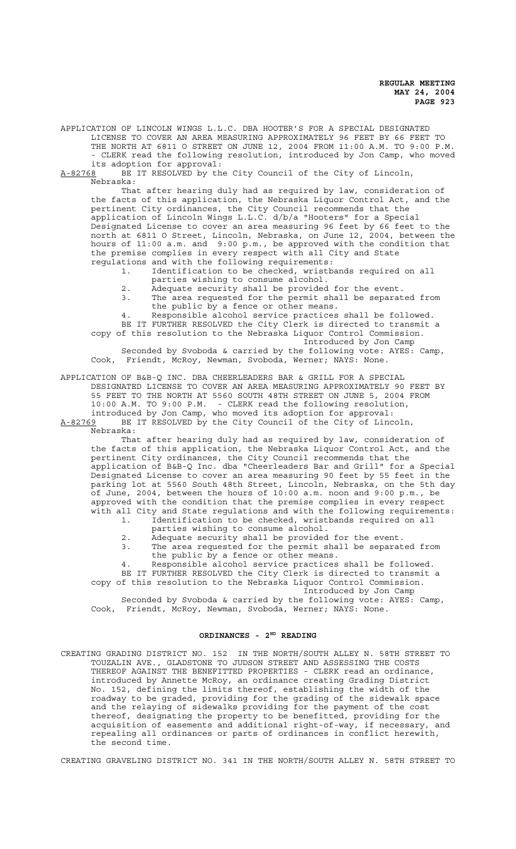APPLICATION OF LINCOLN WINGS L.L.C. DBA HOOTER'S FOR A SPECIAL DESIGNATED LICENSE TO COVER AN AREA MEASURING APPROXIMATELY 96 FEET BY 66 FEET TO THE NORTH AT 6811 O STREET ON JUNE 12, 2004 FROM 11:00 A.M. TO 9:00 P.M. - CLERK read the following resolution, introduced by Jon Camp, who moved its adoption for approval:

A-82768 BE IT RESOLVED by the City Council of the City of Lincoln, Nebraska:

That after hearing duly had as required by law, consideration of the facts of this application, the Nebraska Liquor Control Act, and the pertinent City ordinances, the City Council recommends that the application of Lincoln Wings L.L.C. d/b/a "Hooters" for a Special Designated License to cover an area measuring 96 feet by 66 feet to the north at 6811 O Street, Lincoln, Nebraska, on June 12, 2004, between the hours of 11:00 a.m. and 9:00 p.m., be approved with the condition that the premise complies in every respect with all City and State regulations and with the following requirements:

1. Identification to be checked, wristbands required on all

- parties wishing to consume alcohol.
- 2. Adequate security shall be provided for the event.<br>3. The area requested for the permit shall be separat The area requested for the permit shall be separated from
- the public by a fence or other means.
- 4. Responsible alcohol service practices shall be followed.

BE IT FURTHER RESOLVED the City Clerk is directed to transmit a copy of this resolution to the Nebraska Liquor Control Commission. Introduced by Jon Camp

Seconded by Svoboda & carried by the following vote: AYES: Camp, Cook, Friendt, McRoy, Newman, Svoboda, Werner; NAYS: None.

APPLICATION OF B&B-Q INC. DBA CHEERLEADERS BAR & GRILL FOR A SPECIAL DESIGNATED LICENSE TO COVER AN AREA MEASURING APPROXIMATELY 90 FEET BY 55 FEET TO THE NORTH AT 5560 SOUTH 48TH STREET ON JUNE 5, 2004 FROM 10:00 A.M. TO 9:00 P.M. - CLERK read the following resolution, introduced by Jon Camp, who moved its adoption for approval:

A-82769 BE IT RESOLVED by the City Council of the City of Lincoln, Nebraska:

That after hearing duly had as required by law, consideration of the facts of this application, the Nebraska Liquor Control Act, and the pertinent City ordinances, the City Council recommends that the application of B&B-Q Inc. dba "Cheerleaders Bar and Grill" for a Special Designated License to cover an area measuring 90 feet by 55 feet in the parking lot at 5560 South 48th Street, Lincoln, Nebraska, on the 5th day of June, 2004, between the hours of 10:00 a.m. noon and 9:00 p.m., be approved with the condition that the premise complies in every respect with all City and State regulations and with the following requirements:<br>1. Identification to be checked, wristbands required on all Identification to be checked, wristbands required on all

- parties wishing to consume alcohol.
- 2. Adequate security shall be provided for the event.
- 3. The area requested for the permit shall be separated from the public by a fence or other means.
- 4. Responsible alcohol service practices shall be followed.

BE IT FURTHER RESOLVED the City Clerk is directed to transmit a copy of this resolution to the Nebraska Liquor Control Commission.

Introduced by Jon Camp

Seconded by Svoboda & carried by the following vote: AYES: Camp, Cook, Friendt, McRoy, Newman, Svoboda, Werner; NAYS: None.

# ORDINANCES - 2<sup>ND</sup> READING

CREATING GRADING DISTRICT NO. 152 IN THE NORTH/SOUTH ALLEY N. 58TH STREET TO TOUZALIN AVE., GLADSTONE TO JUDSON STREET AND ASSESSING THE COSTS THEREOF AGAINST THE BENEFITTED PROPERTIES - CLERK read an ordinance, introduced by Annette McRoy, an ordinance creating Grading District No. 152, defining the limits thereof, establishing the width of the roadway to be graded, providing for the grading of the sidewalk space and the relaying of sidewalks providing for the payment of the cost thereof, designating the property to be benefitted, providing for the acquisition of easements and additional right-of-way, if necessary, and repealing all ordinances or parts of ordinances in conflict herewith, the second time.

CREATING GRAVELING DISTRICT NO. 341 IN THE NORTH/SOUTH ALLEY N. 58TH STREET TO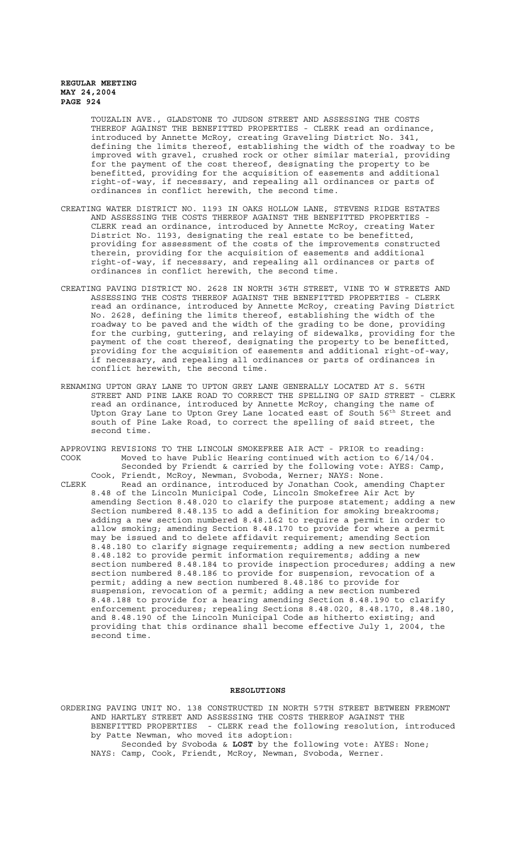TOUZALIN AVE., GLADSTONE TO JUDSON STREET AND ASSESSING THE COSTS THEREOF AGAINST THE BENEFITTED PROPERTIES - CLERK read an ordinance, introduced by Annette McRoy, creating Graveling District No. 341, defining the limits thereof, establishing the width of the roadway to be improved with gravel, crushed rock or other similar material, providing for the payment of the cost thereof, designating the property to be benefitted, providing for the acquisition of easements and additional right-of-way, if necessary, and repealing all ordinances or parts of ordinances in conflict herewith, the second time.

- CREATING WATER DISTRICT NO. 1193 IN OAKS HOLLOW LANE, STEVENS RIDGE ESTATES AND ASSESSING THE COSTS THEREOF AGAINST THE BENEFITTED PROPERTIES - CLERK read an ordinance, introduced by Annette McRoy, creating Water District No. 1193, designating the real estate to be benefitted, providing for assessment of the costs of the improvements constructed therein, providing for the acquisition of easements and additional right-of-way, if necessary, and repealing all ordinances or parts of ordinances in conflict herewith, the second time.
- CREATING PAVING DISTRICT NO. 2628 IN NORTH 36TH STREET, VINE TO W STREETS AND ASSESSING THE COSTS THEREOF AGAINST THE BENEFITTED PROPERTIES - CLERK read an ordinance, introduced by Annette McRoy, creating Paving District No. 2628, defining the limits thereof, establishing the width of the roadway to be paved and the width of the grading to be done, providing for the curbing, guttering, and relaying of sidewalks, providing for the payment of the cost thereof, designating the property to be benefitted, providing for the acquisition of easements and additional right-of-way, if necessary, and repealing all ordinances or parts of ordinances in conflict herewith, the second time.
- RENAMING UPTON GRAY LANE TO UPTON GREY LANE GENERALLY LOCATED AT S. 56TH STREET AND PINE LAKE ROAD TO CORRECT THE SPELLING OF SAID STREET - CLERK read an ordinance, introduced by Annette McRoy, changing the name of Upton Gray Lane to Upton Grey Lane located east of South 56<sup>th</sup> Street and south of Pine Lake Road, to correct the spelling of said street, the second time.
- APPROVING REVISIONS TO THE LINCOLN SMOKEFREE AIR ACT PRIOR to reading: COOK Moved to have Public Hearing continued with action to 6/14/04. Seconded by Friendt & carried by the following vote: AYES: Camp, Cook, Friendt, McRoy, Newman, Svoboda, Werner; NAYS: None.
- CLERK Read an ordinance, introduced by Jonathan Cook, amending Chapter 8.48 of the Lincoln Municipal Code, Lincoln Smokefree Air Act by amending Section 8.48.020 to clarify the purpose statement; adding a new Section numbered 8.48.135 to add a definition for smoking breakrooms; adding a new section numbered 8.48.162 to require a permit in order to allow smoking; amending Section 8.48.170 to provide for where a permit may be issued and to delete affidavit requirement; amending Section 8.48.180 to clarify signage requirements; adding a new section numbered 8.48.182 to provide permit information requirements; adding a new section numbered 8.48.184 to provide inspection procedures; adding a new section numbered 8.48.186 to provide for suspension, revocation of a permit; adding a new section numbered 8.48.186 to provide for suspension, revocation of a permit; adding a new section numbered 8.48.188 to provide for a hearing amending Section 8.48.190 to clarify enforcement procedures; repealing Sections 8.48.020, 8.48.170, 8.48.180, and 8.48.190 of the Lincoln Municipal Code as hitherto existing; and providing that this ordinance shall become effective July 1, 2004, the second time.

## **RESOLUTIONS**

ORDERING PAVING UNIT NO. 138 CONSTRUCTED IN NORTH 57TH STREET BETWEEN FREMONT AND HARTLEY STREET AND ASSESSING THE COSTS THEREOF AGAINST THE BENEFITTED PROPERTIES - CLERK read the following resolution, introduced by Patte Newman, who moved its adoption: Seconded by Svoboda & **LOST** by the following vote: AYES: None; NAYS: Camp, Cook, Friendt, McRoy, Newman, Svoboda, Werner.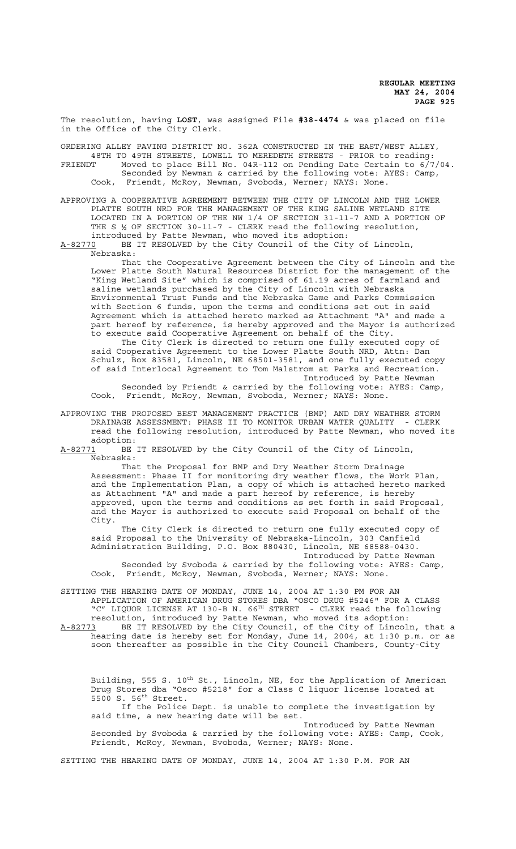The resolution, having **LOST**, was assigned File **#38-4474** & was placed on file in the Office of the City Clerk.

ORDERING ALLEY PAVING DISTRICT NO. 362A CONSTRUCTED IN THE EAST/WEST ALLEY, 48TH TO 49TH STREETS, LOWELL TO MEREDETH STREETS - PRIOR to reading:<br>FRIENDT Moved to place Bill No. 04R-112 on Pending Date Certain to 6/7 Moved to place Bill No. 04R-112 on Pending Date Certain to  $6/7/04$ . Seconded by Newman & carried by the following vote: AYES: Camp, Cook, Friendt, McRoy, Newman, Svoboda, Werner; NAYS: None.

APPROVING A COOPERATIVE AGREEMENT BETWEEN THE CITY OF LINCOLN AND THE LOWER PLATTE SOUTH NRD FOR THE MANAGEMENT OF THE KING SALINE WETLAND SITE LOCATED IN A PORTION OF THE NW 1/4 OF SECTION 31-11-7 AND A PORTION OF THE S ½ OF SECTION 30-11-7 - CLERK read the following resolution, introduced by Patte Newman, who moved its adoption:

A-82770 BE IT RESOLVED by the City Council of the City of Lincoln, Nebraska:

That the Cooperative Agreement between the City of Lincoln and the Lower Platte South Natural Resources District for the management of the "King Wetland Site" which is comprised of 61.19 acres of farmland and saline wetlands purchased by the City of Lincoln with Nebraska Environmental Trust Funds and the Nebraska Game and Parks Commission with Section 6 funds, upon the terms and conditions set out in said Agreement which is attached hereto marked as Attachment "A" and made a part hereof by reference, is hereby approved and the Mayor is authorized to execute said Cooperative Agreement on behalf of the City.

The City Clerk is directed to return one fully executed copy of said Cooperative Agreement to the Lower Platte South NRD, Attn: Dan Schulz, Box 83581, Lincoln, NE 68501-3581, and one fully executed copy of said Interlocal Agreement to Tom Malstrom at Parks and Recreation. Introduced by Patte Newman

Seconded by Friendt & carried by the following vote: AYES: Camp, Cook, Friendt, McRoy, Newman, Svoboda, Werner; NAYS: None.

APPROVING THE PROPOSED BEST MANAGEMENT PRACTICE (BMP) AND DRY WEATHER STORM DRAINAGE ASSESSMENT: PHASE II TO MONITOR URBAN WATER QUALITY - CLERK read the following resolution, introduced by Patte Newman, who moved its adoption:

A-82771 BE IT RESOLVED by the City Council of the City of Lincoln, Nebraska:

That the Proposal for BMP and Dry Weather Storm Drainage Assessment: Phase II for monitoring dry weather flows, the Work Plan, and the Implementation Plan, a copy of which is attached hereto marked as Attachment "A" and made a part hereof by reference, is hereby approved, upon the terms and conditions as set forth in said Proposal, and the Mayor is authorized to execute said Proposal on behalf of the City.

The City Clerk is directed to return one fully executed copy of said Proposal to the University of Nebraska-Lincoln, 303 Canfield Administration Building, P.O. Box 880430, Lincoln, NE 68588-0430.

Introduced by Patte Newman Seconded by Svoboda & carried by the following vote: AYES: Camp, Cook, Friendt, McRoy, Newman, Svoboda, Werner; NAYS: None.

SETTING THE HEARING DATE OF MONDAY, JUNE 14, 2004 AT 1:30 PM FOR AN APPLICATION OF AMERICAN DRUG STORES DBA "OSCO DRUG #5246" FOR A CLASS "C" LIQUOR LICENSE AT 130-B N. 66TH STREET - CLERK read the following resolution, introduced by Patte Newman, who moved its adoption: A-82773 BE IT RESOLVED by the City Council, of the City of Lincoln, that a hearing date is hereby set for Monday, June 14, 2004, at 1:30 p.m. or as soon thereafter as possible in the City Council Chambers, County-City

Building, 555 S. 10<sup>th</sup> St., Lincoln, NE, for the Application of American Drug Stores dba "Osco #5218" for a Class C liquor license located at 5500 S. 56th Street. If the Police Dept. is unable to complete the investigation by

said time, a new hearing date will be set. Introduced by Patte Newman

Seconded by Svoboda & carried by the following vote: AYES: Camp, Cook, Friendt, McRoy, Newman, Svoboda, Werner; NAYS: None.

SETTING THE HEARING DATE OF MONDAY, JUNE 14, 2004 AT 1:30 P.M. FOR AN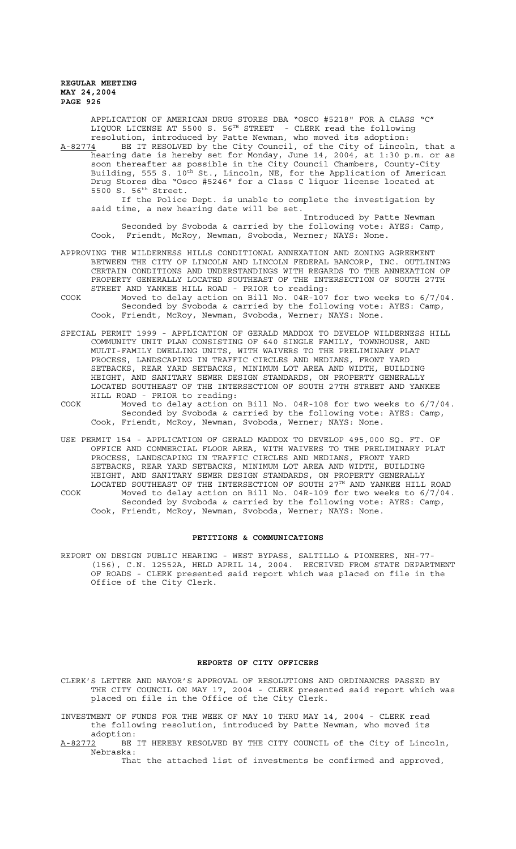> APPLICATION OF AMERICAN DRUG STORES DBA "OSCO #5218" FOR A CLASS "C" LIQUOR LICENSE AT 5500 S. 56TH STREET - CLERK read the following resolution, introduced by Patte Newman, who moved its adoption:

A-82774 BE IT RESOLVED by the City Council, of the City of Lincoln, that a hearing date is hereby set for Monday, June 14, 2004, at 1:30 p.m. or as soon thereafter as possible in the City Council Chambers, County-City Building, 555 S. 10<sup>th</sup> St., Lincoln, NE, for the Application of American Drug Stores dba "Osco #5246" for a Class C liquor license located at 5500 S. 56th Street.

If the Police Dept. is unable to complete the investigation by said time, a new hearing date will be set.

Introduced by Patte Newman Seconded by Svoboda & carried by the following vote: AYES: Camp, Cook, Friendt, McRoy, Newman, Svoboda, Werner; NAYS: None.

- APPROVING THE WILDERNESS HILLS CONDITIONAL ANNEXATION AND ZONING AGREEMENT BETWEEN THE CITY OF LINCOLN AND LINCOLN FEDERAL BANCORP, INC. OUTLINING CERTAIN CONDITIONS AND UNDERSTANDINGS WITH REGARDS TO THE ANNEXATION OF PROPERTY GENERALLY LOCATED SOUTHEAST OF THE INTERSECTION OF SOUTH 27TH STREET AND YANKEE HILL ROAD - PRIOR to reading:
- COOK Moved to delay action on Bill No. 04R-107 for two weeks to 6/7/04. Seconded by Svoboda & carried by the following vote: AYES: Camp, Cook, Friendt, McRoy, Newman, Svoboda, Werner; NAYS: None.
- SPECIAL PERMIT 1999 APPLICATION OF GERALD MADDOX TO DEVELOP WILDERNESS HILL COMMUNITY UNIT PLAN CONSISTING OF 640 SINGLE FAMILY, TOWNHOUSE, AND MULTI-FAMILY DWELLING UNITS, WITH WAIVERS TO THE PRELIMINARY PLAT PROCESS, LANDSCAPING IN TRAFFIC CIRCLES AND MEDIANS, FRONT YARD SETBACKS, REAR YARD SETBACKS, MINIMUM LOT AREA AND WIDTH, BUILDING HEIGHT, AND SANITARY SEWER DESIGN STANDARDS, ON PROPERTY GENERALLY LOCATED SOUTHEAST OF THE INTERSECTION OF SOUTH 27TH STREET AND YANKEE HILL ROAD - PRIOR to reading:
- COOK Moved to delay action on Bill No. 04R-108 for two weeks to 6/7/04. Seconded by Svoboda & carried by the following vote: AYES: Camp, Cook, Friendt, McRoy, Newman, Svoboda, Werner; NAYS: None.
- USE PERMIT 154 APPLICATION OF GERALD MADDOX TO DEVELOP 495,000 SQ. FT. OF OFFICE AND COMMERCIAL FLOOR AREA, WITH WAIVERS TO THE PRELIMINARY PLAT PROCESS, LANDSCAPING IN TRAFFIC CIRCLES AND MEDIANS, FRONT YARD SETBACKS, REAR YARD SETBACKS, MINIMUM LOT AREA AND WIDTH, BUILDING HEIGHT, AND SANITARY SEWER DESIGN STANDARDS, ON PROPERTY GENERALLY LOCATED SOUTHEAST OF THE INTERSECTION OF SOUTH 27TH AND YANKEE HILL ROAD COOK Moved to delay action on Bill No. 04R-109 for two weeks to 6/7/04. Seconded by Svoboda & carried by the following vote: AYES: Camp,

#### **PETITIONS & COMMUNICATIONS**

Cook, Friendt, McRoy, Newman, Svoboda, Werner; NAYS: None.

REPORT ON DESIGN PUBLIC HEARING - WEST BYPASS, SALTILLO & PIONEERS, NH-77- (156), C.N. 12552A, HELD APRIL 14, 2004. RECEIVED FROM STATE DEPARTMENT OF ROADS - CLERK presented said report which was placed on file in the Office of the City Clerk.

### **REPORTS OF CITY OFFICERS**

CLERK'S LETTER AND MAYOR'S APPROVAL OF RESOLUTIONS AND ORDINANCES PASSED BY THE CITY COUNCIL ON MAY 17, 2004 - CLERK presented said report which was placed on file in the Office of the City Clerk.

INVESTMENT OF FUNDS FOR THE WEEK OF MAY 10 THRU MAY 14, 2004 - CLERK read the following resolution, introduced by Patte Newman, who moved its

adoption:<br><u>A-82772</u> BE BE IT HEREBY RESOLVED BY THE CITY COUNCIL of the City of Lincoln, Nebraska:

That the attached list of investments be confirmed and approved,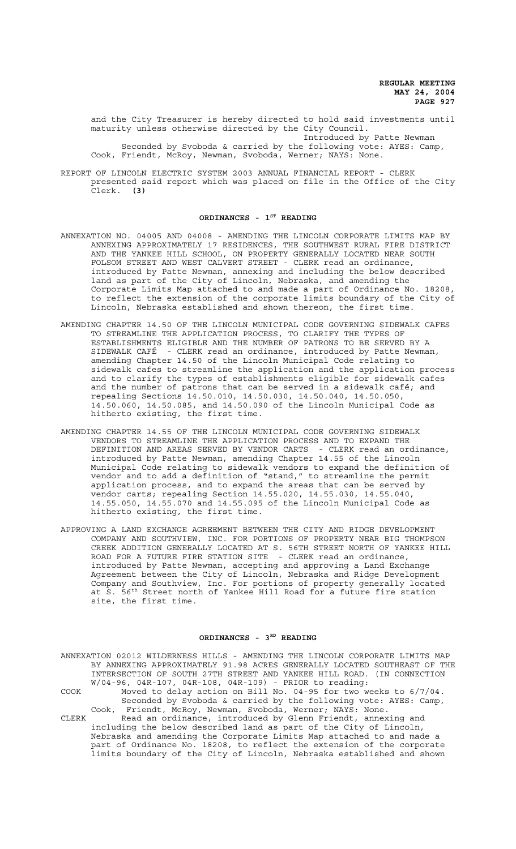and the City Treasurer is hereby directed to hold said investments until maturity unless otherwise directed by the City Council. Introduced by Patte Newman Seconded by Svoboda & carried by the following vote: AYES: Camp, Cook, Friendt, McRoy, Newman, Svoboda, Werner; NAYS: None.

REPORT OF LINCOLN ELECTRIC SYSTEM 2003 ANNUAL FINANCIAL REPORT - CLERK presented said report which was placed on file in the Office of the City Clerk. **(3)**

## ORDINANCES - 1<sup>ST</sup> READING

- ANNEXATION NO. 04005 AND 04008 AMENDING THE LINCOLN CORPORATE LIMITS MAP BY ANNEXING APPROXIMATELY 17 RESIDENCES, THE SOUTHWEST RURAL FIRE DISTRICT AND THE YANKEE HILL SCHOOL, ON PROPERTY GENERALLY LOCATED NEAR SOUTH FOLSOM STREET AND WEST CALVERT STREET - CLERK read an ordinance, introduced by Patte Newman, annexing and including the below described land as part of the City of Lincoln, Nebraska, and amending the Corporate Limits Map attached to and made a part of Ordinance No. 18208, to reflect the extension of the corporate limits boundary of the City of Lincoln, Nebraska established and shown thereon, the first time.
- AMENDING CHAPTER 14.50 OF THE LINCOLN MUNICIPAL CODE GOVERNING SIDEWALK CAFES TO STREAMLINE THE APPLICATION PROCESS, TO CLARIFY THE TYPES OF ESTABLISHMENTS ELIGIBLE AND THE NUMBER OF PATRONS TO BE SERVED BY A SIDEWALK CAFÉ - CLERK read an ordinance, introduced by Patte Newman, amending Chapter 14.50 of the Lincoln Municipal Code relating to sidewalk cafes to streamline the application and the application process and to clarify the types of establishments eligible for sidewalk cafes and the number of patrons that can be served in a sidewalk café; and repealing Sections 14.50.010, 14.50.030, 14.50.040, 14.50.050, 14.50.060, 14.50.085, and 14.50.090 of the Lincoln Municipal Code as hitherto existing, the first time.
- AMENDING CHAPTER 14.55 OF THE LINCOLN MUNICIPAL CODE GOVERNING SIDEWALK VENDORS TO STREAMLINE THE APPLICATION PROCESS AND TO EXPAND THE DEFINITION AND AREAS SERVED BY VENDOR CARTS - CLERK read an ordinance, introduced by Patte Newman, amending Chapter 14.55 of the Lincoln Municipal Code relating to sidewalk vendors to expand the definition of vendor and to add a definition of "stand," to streamline the permit application process, and to expand the areas that can be served by vendor carts; repealing Section 14.55.020, 14.55.030, 14.55.040, 14.55.050, 14.55.070 and 14.55.095 of the Lincoln Municipal Code as hitherto existing, the first time.
- APPROVING A LAND EXCHANGE AGREEMENT BETWEEN THE CITY AND RIDGE DEVELOPMENT COMPANY AND SOUTHVIEW, INC. FOR PORTIONS OF PROPERTY NEAR BIG THOMPSON CREEK ADDITION GENERALLY LOCATED AT S. 56TH STREET NORTH OF YANKEE HILL ROAD FOR A FUTURE FIRE STATION SITE - CLERK read an ordinance, introduced by Patte Newman, accepting and approving a Land Exchange Agreement between the City of Lincoln, Nebraska and Ridge Development Company and Southview, Inc. For portions of property generally located at S. 56th Street north of Yankee Hill Road for a future fire station site, the first time.

## ORDINANCES - 3RD READING

ANNEXATION 02012 WILDERNESS HILLS - AMENDING THE LINCOLN CORPORATE LIMITS MAP BY ANNEXING APPROXIMATELY 91.98 ACRES GENERALLY LOCATED SOUTHEAST OF THE INTERSECTION OF SOUTH 27TH STREET AND YANKEE HILL ROAD. (IN CONNECTION W/04-96, 04R-107, 04R-108, 04R-109) - PRIOR to reading: COOK Moved to delay action on Bill No. 04-95 for two weeks to 6/7/04. Seconded by Svoboda & carried by the following vote: AYES: Camp, Cook, Friendt, McRoy, Newman, Svoboda, Werner; NAYS: None. CLERK Read an ordinance, introduced by Glenn Friendt, annexing and including the below described land as part of the City of Lincoln, Nebraska and amending the Corporate Limits Map attached to and made a part of Ordinance No. 18208, to reflect the extension of the corporate limits boundary of the City of Lincoln, Nebraska established and shown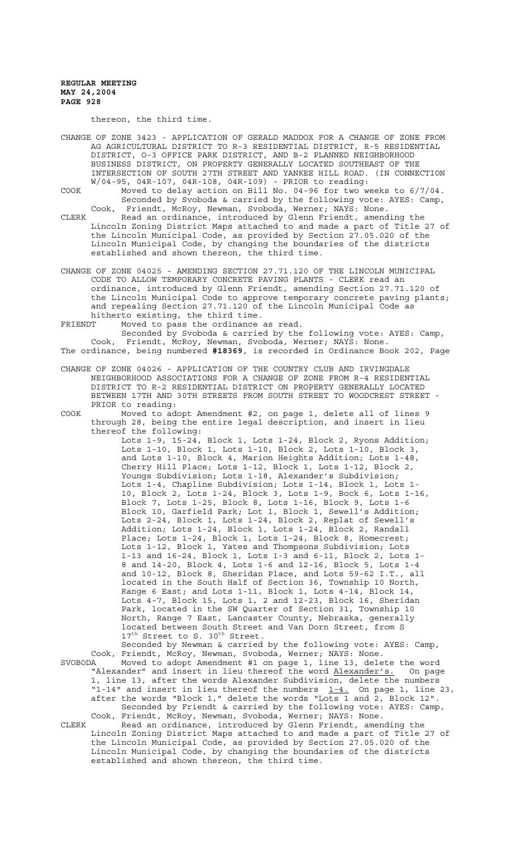thereon, the third time.

CHANGE OF ZONE 3423 - APPLICATION OF GERALD MADDOX FOR A CHANGE OF ZONE FROM AG AGRICULTURAL DISTRICT TO R-3 RESIDENTIAL DISTRICT, R-5 RESIDENTIAL DISTRICT, O-3 OFFICE PARK DISTRICT, AND B-2 PLANNED NEIGHBORHOOD BUSINESS DISTRICT, ON PROPERTY GENERALLY LOCATED SOUTHEAST OF THE INTERSECTION OF SOUTH 27TH STREET AND YANKEE HILL ROAD. (IN CONNECTION W/04-95, 04R-107, 04R-108, 04R-109) - PRIOR to reading:

COOK Moved to delay action on Bill No. 04-96 for two weeks to 6/7/04. Seconded by Svoboda & carried by the following vote: AYES: Camp, Cook, Friendt, McRoy, Newman, Svoboda, Werner; NAYS: None.

CLERK Read an ordinance, introduced by Glenn Friendt, amending the Lincoln Zoning District Maps attached to and made a part of Title 27 of the Lincoln Municipal Code, as provided by Section 27.05.020 of the Lincoln Municipal Code, by changing the boundaries of the districts established and shown thereon, the third time.

CHANGE OF ZONE 04025 - AMENDING SECTION 27.71.120 OF THE LINCOLN MUNICIPAL CODE TO ALLOW TEMPORARY CONCRETE PAVING PLANTS - CLERK read an ordinance, introduced by Glenn Friendt, amending Section 27.71.120 of the Lincoln Municipal Code to approve temporary concrete paving plants; and repealing Section 27.71.120 of the Lincoln Municipal Code as hitherto existing, the third time.

FRIENDT Moved to pass the ordinance as read.

Seconded by Svoboda & carried by the following vote: AYES: Camp, Cook, Friendt, McRoy, Newman, Svoboda, Werner; NAYS: None. The ordinance, being numbered **#18369**, is recorded in Ordinance Book 202, Page

CHANGE OF ZONE 04026 - APPLICATION OF THE COUNTRY CLUB AND IRVINGDALE NEIGHBORHOOD ASSOCIATIONS FOR A CHANGE OF ZONE FROM R-4 RESIDENTIAL DISTRICT TO R-2 RESIDENTIAL DISTRICT ON PROPERTY GENERALLY LOCATED BETWEEN 17TH AND 30TH STREETS FROM SOUTH STREET TO WOODCREST STREET - PRIOR to reading:

COOK Moved to adopt Amendment #2, on page 1, delete all of lines 9 through 28, being the entire legal description, and insert in lieu thereof the following:

Lots 1-9, 15-24, Block 1, Lots 1-24, Block 2, Ryons Addition; Lots 1-10, Block 1, Lots 1-10, Block 2, Lots 1-10, Block 3, and Lots 1-10, Block 4, Marion Heights Addition; Lots 1-48, Cherry Hill Place; Lots 1-12, Block 1, Lots 1-12, Block 2, Youngs Subdivision; Lots 1-18, Alexander's Subdivision; Lots 1-4, Chapline Subdivision; Lots 1-14, Block 1, Lots 1- 10, Block 2, Lots 1-24, Block 3, Lots 1-9, Bock 6, Lots 1-16, Block 7, Lots 1-25, Block 8, Lots 1-16, Block 9, Lots 1-6 Block 10, Garfield Park; Lot 1, Block 1, Sewell's Addition; Lots 2-24, Block 1, Lots 1-24, Block 2, Replat of Sewell's Addition; Lots 1-24, Block 1, Lots 1-24, Block 2, Randall Place; Lots 1-24, Block 1, Lots 1-24, Block 8, Homecrest; Lots 1-12, Block 1, Yates and Thompsons Subdivision; Lots 1-13 and 16-24, Block 1, Lots 1-3 and 6-11, Block 2, Lots 1- 8 and 14-20, Block 4, Lots 1-6 and 12-16, Block 5, Lots 1-4 and 10-12, Block 8, Sheridan Place, and Lots 59-62 I.T., all located in the South Half of Section 36, Township 10 North, Range 6 East; and Lots 1-11, Block 1, Lots 4-14, Block 14, Lots 4-7, Block 15, Lots 1, 2 and 12-23, Block 16, Sheridan Park, located in the SW Quarter of Section 31, Township 10 North, Range 7 East, Lancaster County, Nebraska, generally located between South Street and Van Dorn Street, from S 17<sup>th</sup> Street to S. 30<sup>th</sup> Street.

Seconded by Newman & carried by the following vote: AYES: Camp, Cook, Friendt, McRoy, Newman, Svoboda, Werner; NAYS: None. SVOBODA Moved to adopt Amendment #1 on page 1, line 13, delete the word ...........................<br>"Alexander" and insert in lieu thereof the word <u>Alexander's.</u> On page 1, line 13, after the words Alexander Subdivision, delete the numbers "1-14" and insert in lieu thereof the numbers  $1-4$ . On page 1, line 23, after the words "Block 1," delete the words "Lots 1 and 2, Block 12". Seconded by Friendt & carried by the following vote: AYES: Camp, Cook, Friendt, McRoy, Newman, Svoboda, Werner; NAYS: None.

CLERK Read an ordinance, introduced by Glenn Friendt, amending the Lincoln Zoning District Maps attached to and made a part of Title 27 of the Lincoln Municipal Code, as provided by Section 27.05.020 of the Lincoln Municipal Code, by changing the boundaries of the districts established and shown thereon, the third time.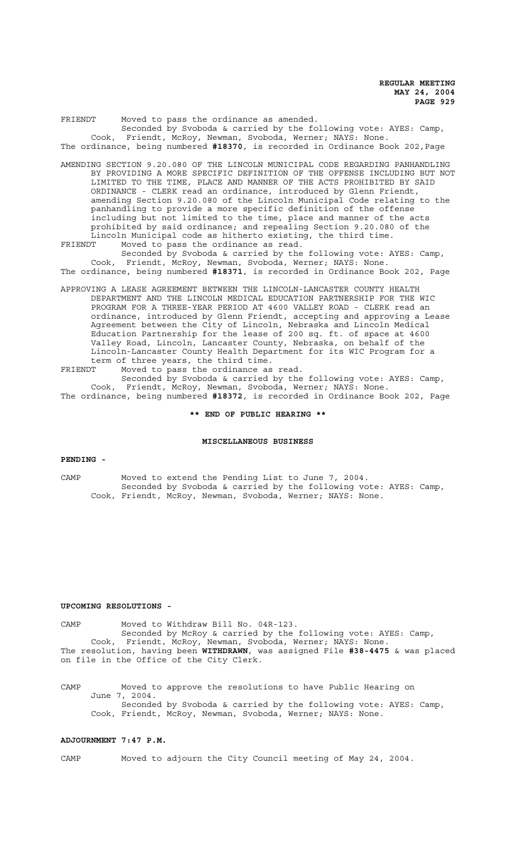FRIENDT Moved to pass the ordinance as amended. Seconded by Svoboda & carried by the following vote: AYES: Camp, Cook, Friendt, McRoy, Newman, Svoboda, Werner; NAYS: None. The ordinance, being numbered **#18370**, is recorded in Ordinance Book 202,Page

AMENDING SECTION 9.20.080 OF THE LINCOLN MUNICIPAL CODE REGARDING PANHANDLING BY PROVIDING A MORE SPECIFIC DEFINITION OF THE OFFENSE INCLUDING BUT NOT LIMITED TO THE TIME, PLACE AND MANNER OF THE ACTS PROHIBITED BY SAID ORDINANCE - CLERK read an ordinance, introduced by Glenn Friendt, amending Section 9.20.080 of the Lincoln Municipal Code relating to the panhandling to provide a more specific definition of the offense including but not limited to the time, place and manner of the acts prohibited by said ordinance; and repealing Section 9.20.080 of the Lincoln Municipal code as hitherto existing, the third time.<br>FRIENDT Moved to pass the ordinance as read.

FRIENDT Moved to pass the ordinance as read.

Seconded by Svoboda & carried by the following vote: AYES: Camp, Cook, Friendt, McRoy, Newman, Svoboda, Werner; NAYS: None. The ordinance, being numbered **#18371**, is recorded in Ordinance Book 202, Page

APPROVING A LEASE AGREEMENT BETWEEN THE LINCOLN-LANCASTER COUNTY HEALTH DEPARTMENT AND THE LINCOLN MEDICAL EDUCATION PARTNERSHIP FOR THE WIC PROGRAM FOR A THREE-YEAR PERIOD AT 4600 VALLEY ROAD - CLERK read an ordinance, introduced by Glenn Friendt, accepting and approving a Lease Agreement between the City of Lincoln, Nebraska and Lincoln Medical Education Partnership for the lease of 200 sq. ft. of space at 4600 Valley Road, Lincoln, Lancaster County, Nebraska, on behalf of the Lincoln-Lancaster County Health Department for its WIC Program for a term of three years, the third time.

FRIENDT Moved to pass the ordinance as read. Seconded by Svoboda & carried by the following vote: AYES: Camp, Cook, Friendt, McRoy, Newman, Svoboda, Werner; NAYS: None.

The ordinance, being numbered **#18372**, is recorded in Ordinance Book 202, Page

**\*\* END OF PUBLIC HEARING \*\***

## **MISCELLANEOUS BUSINESS**

#### **PENDING -**

CAMP Moved to extend the Pending List to June 7, 2004. Seconded by Svoboda & carried by the following vote: AYES: Camp, Cook, Friendt, McRoy, Newman, Svoboda, Werner; NAYS: None.

#### **UPCOMING RESOLUTIONS -**

CAMP Moved to Withdraw Bill No. 04R-123. Seconded by McRoy & carried by the following vote: AYES: Camp, Cook, Friendt, McRoy, Newman, Svoboda, Werner; NAYS: None. The resolution, having been **WITHDRAWN**, was assigned File **#38-4475** & was placed on file in the Office of the City Clerk.

CAMP Moved to approve the resolutions to have Public Hearing on June 7, 2004. Seconded by Svoboda & carried by the following vote: AYES: Camp, Cook, Friendt, McRoy, Newman, Svoboda, Werner; NAYS: None.

# **ADJOURNMENT 7:47 P.M.**

CAMP Moved to adjourn the City Council meeting of May 24, 2004.